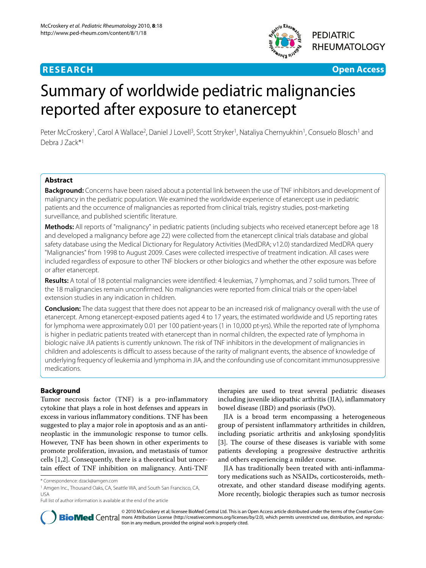## **RESEARCH Open Access**



# Summary of worldwide pediatric malignancies reported after exposure to etanercept

Peter McCroskery<sup>1</sup>, Carol A Wallace<sup>2</sup>, Daniel J Lovell<sup>3</sup>, Scott Stryker<sup>1</sup>, Nataliya Chernyukhin<sup>1</sup>, Consuelo Blosch<sup>1</sup> and Debra J Zack\*1

## **Abstract**

**Background:** Concerns have been raised about a potential link between the use of TNF inhibitors and development of malignancy in the pediatric population. We examined the worldwide experience of etanercept use in pediatric patients and the occurrence of malignancies as reported from clinical trials, registry studies, post-marketing surveillance, and published scientific literature.

**Methods:** All reports of "malignancy" in pediatric patients (including subjects who received etanercept before age 18 and developed a malignancy before age 22) were collected from the etanercept clinical trials database and global safety database using the Medical Dictionary for Regulatory Activities (MedDRA; v12.0) standardized MedDRA query "Malignancies" from 1998 to August 2009. Cases were collected irrespective of treatment indication. All cases were included regardless of exposure to other TNF blockers or other biologics and whether the other exposure was before or after etanercept.

**Results:** A total of 18 potential malignancies were identified: 4 leukemias, 7 lymphomas, and 7 solid tumors. Three of the 18 malignancies remain unconfirmed. No malignancies were reported from clinical trials or the open-label extension studies in any indication in children.

**Conclusion:** The data suggest that there does not appear to be an increased risk of malignancy overall with the use of etanercept. Among etanercept-exposed patients aged 4 to 17 years, the estimated worldwide and US reporting rates for lymphoma were approximately 0.01 per 100 patient-years (1 in 10,000 pt-yrs). While the reported rate of lymphoma is higher in pediatric patients treated with etanercept than in normal children, the expected rate of lymphoma in biologic naïve JIA patients is currently unknown. The risk of TNF inhibitors in the development of malignancies in children and adolescents is difficult to assess because of the rarity of malignant events, the absence of knowledge of underlying frequency of leukemia and lymphoma in JIA, and the confounding use of concomitant immunosuppressive medications.

## **Background**

Tumor necrosis factor (TNF) is a pro-inflammatory cytokine that plays a role in host defenses and appears in excess in various inflammatory conditions. TNF has been suggested to play a major role in apoptosis and as an antineoplastic in the immunologic response to tumor cells. However, TNF has been shown in other experiments to promote proliferation, invasion, and metastasis of tumor cells [[1](#page-6-0)[,2](#page-6-1)]. Consequently, there is a theoretical but uncertain effect of TNF inhibition on malignancy. Anti-TNF

therapies are used to treat several pediatric diseases including juvenile idiopathic arthritis (JIA), inflammatory bowel disease (IBD) and psoriasis (PsO).

JIA is a broad term encompassing a heterogeneous group of persistent inflammatory arthritides in children, including psoriatic arthritis and ankylosing spondylitis [[3\]](#page-6-2). The course of these diseases is variable with some patients developing a progressive destructive arthritis and others experiencing a milder course.

JIA has traditionally been treated with anti-inflammatory medications such as NSAIDs, corticosteroids, methotrexate, and other standard disease modifying agents. More recently, biologic therapies such as tumor necrosis



© 2010 McCroskery et al; licensee BioMed Central Ltd. This is an Open Access article distributed under the terms of the Creative Com-**Bio Med** Central mons Attribution License (http://creativecommons.org/licenses/by/2.0), which permits unrestricted use, distribution, and reproduction in any medium, provided the original work is properly cited.

<sup>\*</sup> Correspondence: dzack@amgen.com

<sup>1</sup> Amgen Inc., Thousand Oaks, CA, Seattle WA, and South San Francisco, CA, USA

Full list of author information is available at the end of the article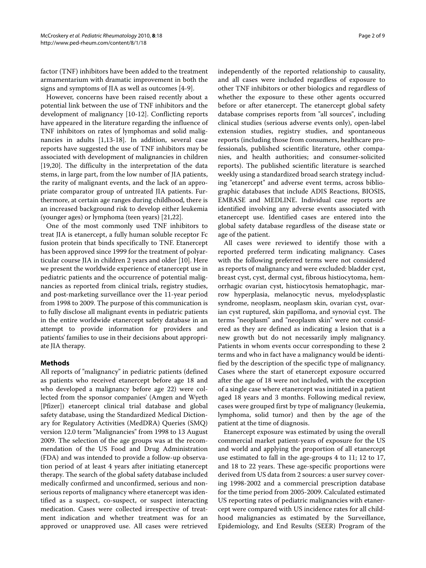factor (TNF) inhibitors have been added to the treatment armamentarium with dramatic improvement in both the signs and symptoms of JIA as well as outcomes [\[4-](#page-7-0)[9](#page-7-1)].

However, concerns have been raised recently about a potential link between the use of TNF inhibitors and the development of malignancy [[10](#page-7-2)[-12](#page-7-3)]. Conflicting reports have appeared in the literature regarding the influence of TNF inhibitors on rates of lymphomas and solid malignancies in adults [[1,](#page-6-0)[13](#page-7-4)[-18](#page-7-5)]. In addition, several case reports have suggested the use of TNF inhibitors may be associated with development of malignancies in children [[19,](#page-7-6)[20\]](#page-7-7). The difficulty in the interpretation of the data stems, in large part, from the low number of JIA patients, the rarity of malignant events, and the lack of an appropriate comparator group of untreated JIA patients. Furthermore, at certain age ranges during childhood, there is an increased background risk to develop either leukemia (younger ages) or lymphoma (teen years) [[21](#page-7-8),[22](#page-7-9)].

One of the most commonly used TNF inhibitors to treat JIA is etanercept, a fully human soluble receptor Fc fusion protein that binds specifically to TNF. Etanercept has been approved since 1999 for the treatment of polyarticular course JIA in children 2 years and older [[10\]](#page-7-2). Here we present the worldwide experience of etanercept use in pediatric patients and the occurrence of potential malignancies as reported from clinical trials, registry studies, and post-marketing surveillance over the 11-year period from 1998 to 2009. The purpose of this communication is to fully disclose all malignant events in pediatric patients in the entire worldwide etanercept safety database in an attempt to provide information for providers and patients' families to use in their decisions about appropriate JIA therapy.

## **Methods**

All reports of "malignancy" in pediatric patients (defined as patients who received etanercept before age 18 and who developed a malignancy before age 22) were collected from the sponsor companies' (Amgen and Wyeth [Pfizer]) etanercept clinical trial database and global safety database, using the Standardized Medical Dictionary for Regulatory Activities (MedDRA) Queries (SMQ) version 12.0 term "Malignancies" from 1998 to 13 August 2009. The selection of the age groups was at the recommendation of the US Food and Drug Administration (FDA) and was intended to provide a follow-up observation period of at least 4 years after initiating etanercept therapy. The search of the global safety database included medically confirmed and unconfirmed, serious and nonserious reports of malignancy where etanercept was identified as a suspect, co-suspect, or suspect interacting medication. Cases were collected irrespective of treatment indication and whether treatment was for an approved or unapproved use. All cases were retrieved independently of the reported relationship to causality, and all cases were included regardless of exposure to other TNF inhibitors or other biologics and regardless of whether the exposure to these other agents occurred before or after etanercept. The etanercept global safety database comprises reports from "all sources", including clinical studies (serious adverse events only), open-label extension studies, registry studies, and spontaneous reports (including those from consumers, healthcare professionals, published scientific literature, other companies, and health authorities; and consumer-solicited reports). The published scientific literature is searched weekly using a standardized broad search strategy including "etanercept" and adverse event terms, across bibliographic databases that include ADIS Reactions, BIOSIS, EMBASE and MEDLINE. Individual case reports are identified involving any adverse events associated with etanercept use. Identified cases are entered into the global safety database regardless of the disease state or age of the patient.

All cases were reviewed to identify those with a reported preferred term indicating malignancy. Cases with the following preferred terms were not considered as reports of malignancy and were excluded: bladder cyst, breast cyst, cyst, dermal cyst, fibrous histiocytoma, hemorrhagic ovarian cyst, histiocytosis hematophagic, marrow hyperplasia, melanocytic nevus, myelodysplastic syndrome, neoplasm, neoplasm skin, ovarian cyst, ovarian cyst ruptured, skin papilloma, and synovial cyst. The terms "neoplasm" and "neoplasm skin" were not considered as they are defined as indicating a lesion that is a new growth but do not necessarily imply malignancy. Patients in whom events occur corresponding to these 2 terms and who in fact have a malignancy would be identified by the description of the specific type of malignancy. Cases where the start of etanercept exposure occurred after the age of 18 were not included, with the exception of a single case where etanercept was initiated in a patient aged 18 years and 3 months. Following medical review, cases were grouped first by type of malignancy (leukemia, lymphoma, solid tumor) and then by the age of the patient at the time of diagnosis.

Etanercept exposure was estimated by using the overall commercial market patient-years of exposure for the US and world and applying the proportion of all etanercept use estimated to fall in the age-groups 4 to 11; 12 to 17, and 18 to 22 years. These age-specific proportions were derived from US data from 2 sources: a user survey covering 1998-2002 and a commercial prescription database for the time period from 2005-2009. Calculated estimated US reporting rates of pediatric malignancies with etanercept were compared with US incidence rates for all childhood malignancies as estimated by the Surveillance, Epidemiology, and End Results (SEER) Program of the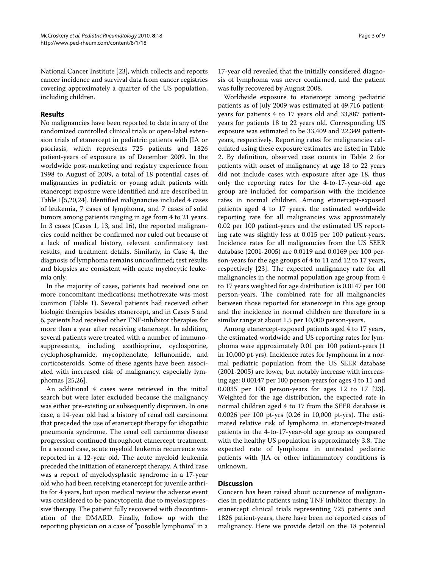National Cancer Institute [[23\]](#page-7-10), which collects and reports cancer incidence and survival data from cancer registries covering approximately a quarter of the US population, including children.

## **Results**

No malignancies have been reported to date in any of the randomized controlled clinical trials or open-label extension trials of etanercept in pediatric patients with JIA or psoriasis, which represents 725 patients and 1826 patient-years of exposure as of December 2009. In the worldwide post-marketing and registry experience from 1998 to August of 2009, a total of 18 potential cases of malignancies in pediatric or young adult patients with etanercept exposure were identified and are described in Table 1[\[5](#page-7-11)[,20](#page-7-7),[24](#page-7-12)]. Identified malignancies included 4 cases of leukemia, 7 cases of lymphoma, and 7 cases of solid tumors among patients ranging in age from 4 to 21 years. In 3 cases (Cases 1, 13, and 16), the reported malignancies could neither be confirmed nor ruled out because of a lack of medical history, relevant confirmatory test results, and treatment details. Similarly, in Case 4, the diagnosis of lymphoma remains unconfirmed; test results and biopsies are consistent with acute myelocytic leukemia only.

In the majority of cases, patients had received one or more concomitant medications; methotrexate was most common (Table 1). Several patients had received other biologic therapies besides etanercept, and in Cases 5 and 6, patients had received other TNF-inhibitor therapies for more than a year after receiving etanercept. In addition, several patients were treated with a number of immunosuppressants, including azathioprine, cyclosporine, cyclophosphamide, mycophenolate, leflunomide, and corticosteroids. Some of these agents have been associated with increased risk of malignancy, especially lymphomas [[25](#page-7-13),[26](#page-7-14)].

An additional 4 cases were retrieved in the initial search but were later excluded because the malignancy was either pre-existing or subsequently disproven. In one case, a 14-year old had a history of renal cell carcinoma that preceded the use of etanercept therapy for idiopathic pneumonia syndrome. The renal cell carcinoma disease progression continued throughout etanercept treatment. In a second case, acute myeloid leukemia recurrence was reported in a 12-year old. The acute myeloid leukemia preceded the initiation of etanercept therapy. A third case was a report of myelodysplastic syndrome in a 17-year old who had been receiving etanercept for juvenile arthritis for 4 years, but upon medical review the adverse event was considered to be pancytopenia due to myelosuppressive therapy. The patient fully recovered with discontinuation of the DMARD. Finally, follow up with the reporting physician on a case of "possible lymphoma" in a

17-year old revealed that the initially considered diagnosis of lymphoma was never confirmed, and the patient was fully recovered by August 2008.

Worldwide exposure to etanercept among pediatric patients as of July 2009 was estimated at 49,716 patientyears for patients 4 to 17 years old and 33,887 patientyears for patients 18 to 22 years old. Corresponding US exposure was estimated to be 33,409 and 22,349 patientyears, respectively. Reporting rates for malignancies calculated using these exposure estimates are listed in Table 2. By definition, observed case counts in Table 2 for patients with onset of malignancy at age 18 to 22 years did not include cases with exposure after age 18, thus only the reporting rates for the 4-to-17-year-old age group are included for comparison with the incidence rates in normal children. Among etanercept-exposed patients aged 4 to 17 years, the estimated worldwide reporting rate for all malignancies was approximately 0.02 per 100 patient-years and the estimated US reporting rate was slightly less at 0.015 per 100 patient-years. Incidence rates for all malignancies from the US SEER database (2001-2005) are 0.0119 and 0.0169 per 100 person-years for the age groups of 4 to 11 and 12 to 17 years, respectively [[23](#page-7-10)]. The expected malignancy rate for all malignancies in the normal population age group from 4 to 17 years weighted for age distribution is 0.0147 per 100 person-years. The combined rate for all malignancies between those reported for etanercept in this age group and the incidence in normal children are therefore in a similar range at about 1.5 per 10,000 person-years.

Among etanercept-exposed patients aged 4 to 17 years, the estimated worldwide and US reporting rates for lymphoma were approximately 0.01 per 100 patient-years (1 in 10,000 pt-yrs). Incidence rates for lymphoma in a normal pediatric population from the US SEER database (2001-2005) are lower, but notably increase with increasing age: 0.00147 per 100 person-years for ages 4 to 11 and 0.0035 per 100 person-years for ages 12 to 17 [\[23](#page-7-10)]. Weighted for the age distribution, the expected rate in normal children aged 4 to 17 from the SEER database is 0.0026 per 100 pt-yrs (0.26 in 10,000 pt-yrs). The estimated relative risk of lymphoma in etanercept-treated patients in the 4-to-17-year-old age group as compared with the healthy US population is approximately 3.8. The expected rate of lymphoma in untreated pediatric patients with JIA or other inflammatory conditions is unknown.

## **Discussion**

Concern has been raised about occurrence of malignancies in pediatric patients using TNF inhibitor therapy. In etanercept clinical trials representing 725 patients and 1826 patient-years, there have been no reported cases of malignancy. Here we provide detail on the 18 potential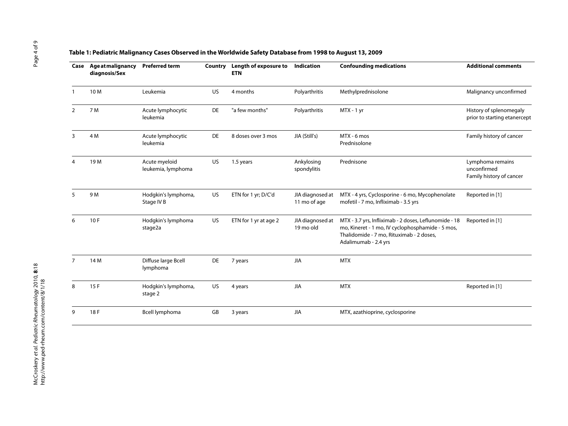## **Table 1: Pediatric Malignancy Cases Observed in the Worldwide Safety Database from 1998 to August 13, 2009**

| Case           | <b>Ageat malignancy</b><br>diagnosis/Sex | <b>Preferred term</b>               | Country | Length of exposure to<br><b>ETN</b> | <b>Indication</b>                | <b>Confounding medications</b>                                                                                                                                                | <b>Additional comments</b>                                  |
|----------------|------------------------------------------|-------------------------------------|---------|-------------------------------------|----------------------------------|-------------------------------------------------------------------------------------------------------------------------------------------------------------------------------|-------------------------------------------------------------|
|                | 10 M                                     | Leukemia                            | US      | 4 months                            | Polyarthritis                    | Methylprednisolone                                                                                                                                                            | Malignancy unconfirmed                                      |
| 2              | 7 M                                      | Acute lymphocytic<br>leukemia       | DE      | "a few months"                      | Polyarthritis                    | $MTX - 1$ yr                                                                                                                                                                  | History of splenomegaly<br>prior to starting etanercept     |
| 3              | 4 M                                      | Acute lymphocytic<br>leukemia       | DE      | 8 doses over 3 mos                  | JIA (Still's)                    | MTX - 6 mos<br>Prednisolone                                                                                                                                                   | Family history of cancer                                    |
|                | 19 M                                     | Acute myeloid<br>leukemia, lymphoma | US      | 1.5 years                           | Ankylosing<br>spondylitis        | Prednisone                                                                                                                                                                    | Lymphoma remains<br>unconfirmed<br>Family history of cancer |
| 5              | 9 M                                      | Hodgkin's lymphoma,<br>Stage IV B   | US      | ETN for 1 yr; D/C'd                 | JIA diagnosed at<br>11 mo of age | MTX - 4 yrs, Cyclosporine - 6 mo, Mycophenolate<br>mofetil - 7 mo, Infliximab - 3.5 yrs                                                                                       | Reported in [1]                                             |
| 6              | 10F                                      | Hodgkin's lymphoma<br>stage2a       | US      | ETN for 1 yr at age 2               | JIA diagnosed at<br>19 mo old    | MTX - 3.7 yrs, Infliximab - 2 doses, Leflunomide - 18<br>mo, Kineret - 1 mo, IV cyclophosphamide - 5 mos,<br>Thalidomide - 7 mo, Rituximab - 2 doses,<br>Adalimumab - 2.4 yrs | Reported in [1]                                             |
| $\overline{7}$ | 14 M                                     | Diffuse large Bcell<br>lymphoma     | DE      | 7 years                             | <b>JIA</b>                       | <b>MTX</b>                                                                                                                                                                    |                                                             |
| 8              | 15F                                      | Hodgkin's lymphoma,<br>stage 2      | US      | 4 years                             | <b>JIA</b>                       | <b>MTX</b>                                                                                                                                                                    | Reported in [1]                                             |
| 9              | 18F                                      | <b>Bcell lymphoma</b>               | GB      | 3 years                             | <b>JIA</b>                       | MTX, azathioprine, cyclosporine                                                                                                                                               |                                                             |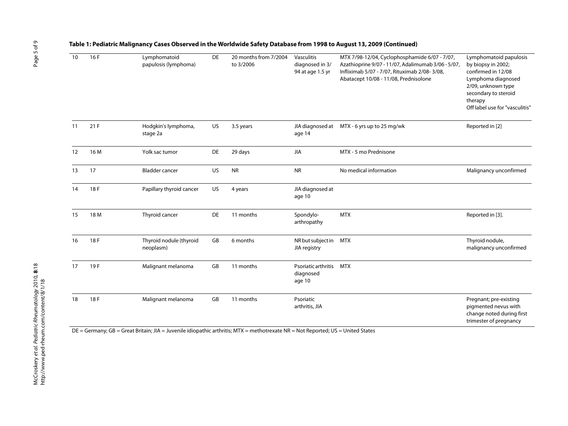| 10 | 16F  | Lymphomatoid<br>papulosis (lymphoma) | <b>DE</b> | 20 months from 7/2004<br>to 3/2006 | <b>Vasculitis</b><br>diagnosed in 3/<br>94 at age 1.5 yr | MTX 7/98-12/04, Cyclophosphamide 6/07 - 7/07,<br>Azathioprine 9/07 - 11/07, Adalimumab 3/06 - 5/07,<br>Infliximab 5/07 - 7/07, Rituximab 2/08-3/08,<br>Abatacept 10/08 - 11/08, Prednisolone | Lymphomatoid papulosis<br>by biopsy in 2002;<br>confirmed in 12/08<br>Lymphoma diagnosed<br>2/09, unknown type<br>secondary to steroid<br>therapy<br>Off label use for "vasculitis" |
|----|------|--------------------------------------|-----------|------------------------------------|----------------------------------------------------------|----------------------------------------------------------------------------------------------------------------------------------------------------------------------------------------------|-------------------------------------------------------------------------------------------------------------------------------------------------------------------------------------|
| 11 | 21F  | Hodgkin's lymphoma,<br>stage 2a      | US        | 3.5 years                          | JIA diagnosed at<br>age 14                               | MTX - 6 yrs up to 25 mg/wk                                                                                                                                                                   | Reported in [2]                                                                                                                                                                     |
| 12 | 16 M | Yolk sac tumor                       | DE        | 29 days                            | JIA                                                      | MTX - 5 mo Prednisone                                                                                                                                                                        |                                                                                                                                                                                     |
| 13 | 17   | <b>Bladder cancer</b>                | US        | <b>NR</b>                          | <b>NR</b>                                                | No medical information                                                                                                                                                                       | Malignancy unconfirmed                                                                                                                                                              |
| 14 | 18 F | Papillary thyroid cancer             | US        | 4 years                            | JIA diagnosed at<br>age 10                               |                                                                                                                                                                                              |                                                                                                                                                                                     |
| 15 | 18 M | Thyroid cancer                       | DE        | 11 months                          | Spondylo-<br>arthropathy                                 | <b>MTX</b>                                                                                                                                                                                   | Reported in [3].                                                                                                                                                                    |
| 16 | 18F  | Thyroid nodule (thyroid<br>neoplasm) | GB        | 6 months                           | NR but subject in<br>JIA registry                        | <b>MTX</b>                                                                                                                                                                                   | Thyroid nodule,<br>malignancy unconfirmed                                                                                                                                           |
| 17 | 19F  | Malignant melanoma                   | GB        | 11 months                          | <b>Psoriatic arthritis</b><br>diagnosed<br>age 10        | <b>MTX</b>                                                                                                                                                                                   |                                                                                                                                                                                     |
| 18 | 18F  | Malignant melanoma                   | GB        | 11 months                          | Psoriatic<br>arthritis, JIA                              |                                                                                                                                                                                              | Pregnant; pre-existing<br>pigmented nevus with<br>change noted during first<br>trimester of pregnancy                                                                               |

## **Table 1: Pediatric Malignancy Cases Observed in the Worldwide Safety Database from 1998 to August 13, 2009 (Continued)**

DE = Germany; GB = Great Britain; JIA = Juvenile idiopathic arthritis; MTX = methotrexate NR = Not Reported; US = United States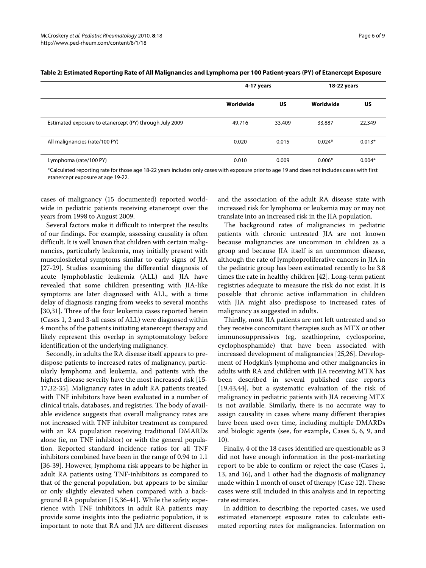|                                                         | 4-17 years |           | 18-22 years |          |
|---------------------------------------------------------|------------|-----------|-------------|----------|
|                                                         | Worldwide  | <b>US</b> | Worldwide   | บร       |
| Estimated exposure to etanercept (PY) through July 2009 | 49,716     | 33,409    | 33,887      | 22,349   |
| All malignancies (rate/100 PY)                          | 0.020      | 0.015     | $0.024*$    | $0.013*$ |
| Lymphoma (rate/100 PY)                                  | 0.010      | 0.009     | $0.006*$    | $0.004*$ |

## **Table 2: Estimated Reporting Rate of All Malignancies and Lymphoma per 100 Patient-years (PY) of Etanercept Exposure**

\*Calculated reporting rate for those age 18-22 years includes only cases with exposure prior to age 19 and does not includes cases with first etanercept exposure at age 19-22.

cases of malignancy (15 documented) reported worldwide in pediatric patients receiving etanercept over the years from 1998 to August 2009.

Several factors make it difficult to interpret the results of our findings. For example, assessing causality is often difficult. It is well known that children with certain malignancies, particularly leukemia, may initially present with musculoskeletal symptoms similar to early signs of JIA [[27-](#page-7-15)[29](#page-7-16)]. Studies examining the differential diagnosis of acute lymphoblastic leukemia (ALL) and JIA have revealed that some children presenting with JIA-like symptoms are later diagnosed with ALL, with a time delay of diagnosis ranging from weeks to several months [[30,](#page-7-17)[31\]](#page-7-18). Three of the four leukemia cases reported herein (Cases 1, 2 and 3-all cases of ALL) were diagnosed within 4 months of the patients initiating etanercept therapy and likely represent this overlap in symptomatology before identification of the underlying malignancy.

Secondly, in adults the RA disease itself appears to predispose patients to increased rates of malignancy, particularly lymphoma and leukemia, and patients with the highest disease severity have the most increased risk [\[15-](#page-7-19) [17](#page-7-20),[32-](#page-7-21)[35\]](#page-7-22). Malignancy rates in adult RA patients treated with TNF inhibitors have been evaluated in a number of clinical trials, databases, and registries. The body of available evidence suggests that overall malignancy rates are not increased with TNF inhibitor treatment as compared with an RA population receiving traditional DMARDs alone (ie, no TNF inhibitor) or with the general population. Reported standard incidence ratios for all TNF inhibitors combined have been in the range of 0.94 to 1.1 [[36-](#page-7-23)[39](#page-7-24)]. However, lymphoma risk appears to be higher in adult RA patients using TNF-inhibitors as compared to that of the general population, but appears to be similar or only slightly elevated when compared with a background RA population [\[15](#page-7-19)[,36](#page-7-23)-[41\]](#page-7-25). While the safety experience with TNF inhibitors in adult RA patients may provide some insights into the pediatric population, it is important to note that RA and JIA are different diseases and the association of the adult RA disease state with increased risk for lymphoma or leukemia may or may not translate into an increased risk in the JIA population.

The background rates of malignancies in pediatric patients with chronic untreated JIA are not known because malignancies are uncommon in children as a group and because JIA itself is an uncommon disease, although the rate of lymphoproliferative cancers in JIA in the pediatric group has been estimated recently to be 3.8 times the rate in healthy children [[42](#page-8-0)]. Long-term patient registries adequate to measure the risk do not exist. It is possible that chronic active inflammation in children with JIA might also predispose to increased rates of malignancy as suggested in adults.

Thirdly, most JIA patients are not left untreated and so they receive concomitant therapies such as MTX or other immunosuppressives (eg, azathioprine, cyclosporine, cyclophosphamide) that have been associated with increased development of malignancies [[25](#page-7-13),[26](#page-7-14)]. Development of Hodgkin's lymphoma and other malignancies in adults with RA and children with JIA receiving MTX has been described in several published case reports [[19,](#page-7-6)[43,](#page-8-1)[44\]](#page-8-2), but a systematic evaluation of the risk of malignancy in pediatric patients with JIA receiving MTX is not available. Similarly, there is no accurate way to assign causality in cases where many different therapies have been used over time, including multiple DMARDs and biologic agents (see, for example, Cases 5, 6, 9, and 10).

Finally, 4 of the 18 cases identified are questionable as 3 did not have enough information in the post-marketing report to be able to confirm or reject the case (Cases 1, 13, and 16), and 1 other had the diagnosis of malignancy made within 1 month of onset of therapy (Case 12). These cases were still included in this analysis and in reporting rate estimates.

In addition to describing the reported cases, we used estimated etanercept exposure rates to calculate estimated reporting rates for malignancies. Information on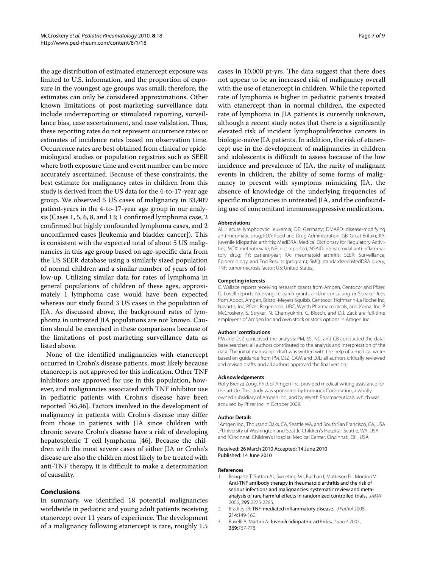the age distribution of estimated etanercept exposure was limited to U.S. information, and the proportion of exposure in the youngest age groups was small; therefore, the estimates can only be considered approximations. Other known limitations of post-marketing surveillance data include underreporting or stimulated reporting, surveillance bias, case ascertainment, and case validation. Thus, these reporting rates do not represent occurrence rates or estimates of incidence rates based on observation time. Occurrence rates are best obtained from clinical or epidemiological studies or population registries such as SEER where both exposure time and event number can be more accurately ascertained. Because of these constraints, the best estimate for malignancy rates in children from this study is derived from the US data for the 4-to-17-year age group. We observed 5 US cases of malignancy in 33,409 patient-years in the 4-to-17-year age group in our analysis (Cases 1, 5, 6, 8, and 13; 1 confirmed lymphoma case, 2 confirmed but highly confounded lymphoma cases, and 2 unconfirmed cases [leukemia and bladder cancer]). This is consistent with the expected total of about 5 US malignancies in this age group based on age-specific data from the US SEER database using a similarly sized population of normal children and a similar number of years of follow-up. Utilizing similar data for rates of lymphoma in general populations of children of these ages, approximately 1 lymphoma case would have been expected whereas our study found 3 US cases in the population of JIA. As discussed above, the background rates of lymphoma in untreated JIA populations are not known. Caution should be exercised in these comparisons because of the limitations of post-marketing surveillance data as listed above.

None of the identified malignancies with etanercept occurred in Crohn's disease patients, most likely because etanercept is not approved for this indication. Other TNF inhibitors are approved for use in this population, however, and malignancies associated with TNF inhibitor use in pediatric patients with Crohn's disease have been reported [[45](#page-8-3),[46](#page-8-4)]. Factors involved in the development of malignancy in patients with Crohn's disease may differ from those in patients with JIA since children with chronic severe Crohn's disease have a risk of developing hepatosplenic T cell lymphoma [[46](#page-8-4)]. Because the children with the most severe cases of either JIA or Crohn's disease are also the children most likely to be treated with anti-TNF therapy, it is difficult to make a determination of causality.

## **Conclusions**

In summary, we identified 18 potential malignancies worldwide in pediatric and young adult patients receiving etanercept over 11 years of experience. The development of a malignancy following etanercept is rare, roughly 1.5

cases in 10,000 pt-yrs. The data suggest that there does not appear to be an increased risk of malignancy overall with the use of etanercept in children. While the reported rate of lymphoma is higher in pediatric patients treated with etanercept than in normal children, the expected rate of lymphoma in JIA patients is currently unknown, although a recent study notes that there is a significantly elevated risk of incident lymphoproliferative cancers in biologic-naïve JIA patients. In addition, the risk of etanercept use in the development of malignancies in children and adolescents is difficult to assess because of the low incidence and prevalence of JIA, the rarity of malignant events in children, the ability of some forms of malignancy to present with symptoms mimicking JIA, the absence of knowledge of the underlying frequencies of specific malignancies in untreated JIA, and the confounding use of concomitant immunosuppressive medications.

#### **Abbreviations**

ALL: acute lymphocytic leukemia; DE: Germany; DMARD: disease-modifying anti-rheumatic drug; FDA: Food and Drug Administration; GB: Great Britain; JIA: juvenile idiopathic arthritis; MedDRA: Medical Dictionary for Regulatory Activities; MTX: methotrexate; NR: not reported; NSAID: nonsteroidal anti-inflammatory drug; PY: patient-year; RA: rheumatoid arthritis; SEER: Surveillance, Epidemiology, and End Results (program); SMQ: standardized MedDRA query; TNF: tumor necrosis factor; US: United States;

#### **Competing interests**

C. Wallace reports receiving research grants from Amgen, Centocor and Pfizer. D. Lovell reports receiving research grants and/or consulting or Speaker fees from Abbot, Amgen, Bristol-Meyers Squibb, Centocor, Hoffmann-La Roche Inc, Novartis, Inc, Pfizer, Regeneron, UBC, Wyeth Pharmaceuticals, and Xoma, Inc. P. McCroskery, S. Stryker, N. Chernyukhin, C. Blosch, and D.J. Zack are full-time employees of Amgen Inc and own stock or stock options in Amgen Inc.

#### <span id="page-6-3"></span>**Authors' contributions**

PM and DJZ conceived the analysis; PM, SS, NC, and CB conducted the database searches; all authors contributed to the analysis and interpretation of the data. The initial manuscript draft was written with the help of a medical writer based on guidance from PM, DJZ, CAW, and DJL; all authors critically reviewed and revised drafts; and all authors approved the final version.

#### <span id="page-6-5"></span><span id="page-6-4"></span>**Acknowledgements**

Holly Brenza Zoog, PhD, of Amgen Inc. provided medical writing assistance for this article. This study was sponsored by Immunex Corporation, a wholly owned subsidiary of Amgen Inc., and by Wyeth Pharmaceuticals, which was acquired by Pfizer Inc. in October 2009.

#### **Author Details**

1Amgen Inc., Thousand Oaks, CA, Seattle WA, and South San Francisco, CA, USA , 2University of Washington and Seattle Children's Hospital, Seattle, WA, USA and 3Cincinnati Children's Hospital Medical Center, Cincinnati, OH, USA

#### Received: 26 March 2010 Accepted: 14 June 2010 Published: 14 June 2010

#### **References**

- <span id="page-6-0"></span>Bongartz T, Sutton AJ, Sweeting MJ, Buchan I, Matteson EL, Montori V: Anti-TNF antibody therapy in rheumatoid arthritis and the risk of serious infections and malignancies: systematic review and metaanalysis of rare harmful effects in randomized controlled trials**.** JAMA 2006, 295:2275-2285.
- <span id="page-6-1"></span>2. Bradley JR: TNF-mediated inflammatory disease**.** J Pathol 2008, 214:149-160.
- <span id="page-6-2"></span>3. Ravelli A, Martini A: Juvenile idiopathic arthritis**.** Lancet 2007, 369:767-778.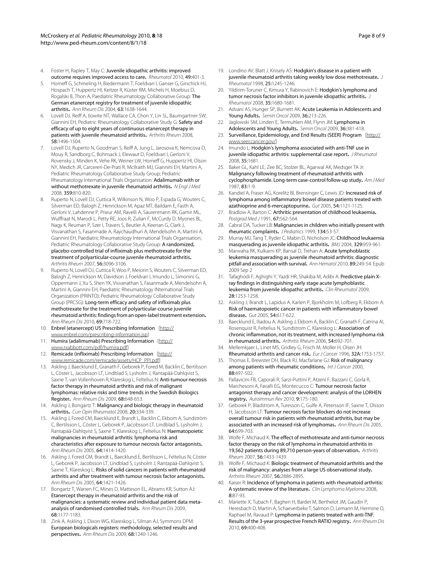- <span id="page-7-0"></span>4. Foster H, Rapley T, May C: Juvenile idiopathic arthritis: improved outcome requires improved access to care**.** Rheumatol 2010, 49:401-3.
- <span id="page-7-11"></span>5. Horneff G, Schmeling H, Biedermann T, Foeldvari I, Ganser G, Girschick HJ, Hospach T, Huppertz HI, Keitzer R, Küster RM, Michels H, Moebius D, Rogalski B, Thon A, Paediatric Rheumatology Collaborative Group: The German etanercept registry for treatment of juvenile idiopathic arthritis**.** Ann Rheum Dis 2004, 63:1638-1644.
- 6. Lovell DJ, Reiff A, Ilowite NT, Wallace CA, Chon Y, Lin SL, Baumgartner SW, Giannini EH, Pediatric Rheumatology Collaborative Study G: Safety and efficacy of up to eight years of continuous etanercept therapy in patients with juvenile rheumatoid arthritis**.** Arthritis Rheum 2008, 58:1496-1504.
- 7. Lovell DJ, Ruperto N, Goodman S, Reiff A, Jung L, Jarosova K, Nemcova D, Mouy R, Sandborg C, Bohnsack J, Elewaut D, Foeldvari I, Gerloni V, Rovensky J, Minden K, Vehe RK, Weiner LW, Horneff G, Huppertz HI, Olson NY, Medich JR, Carcereri-De-Prati R, McIlraith MJ, Giannini EH, Martini A, Pediatric Rheumatology Collaborative Study Group; Pediatric Rheumatology International Trials Organisation: Adalimumab with or without methotrexate in juvenile rheumatoid arthritis**.** N Engl J Med 2008, 359:810-820.
- 8. Ruperto N, Lovell DJ, Cuttica R, Wilkinson N, Woo P, Espada G, Wouters C, Silverman ED, Balogh Z, Henrickson M, Apaz MT, Baildam E, Fasth A, Gerloni V, Lahdenne P, Prieur AM, Ravelli A, Saurenmann RK, Gamir ML, Wulffraat N, Marodi L, Petty RE, Joos R, Zulian F, McCurdy D, Myones BL, Nagy K, Reuman P, Szer I, Travers S, Beutler A, Keenan G, Clark J, Visvanathan S, Fasanmade A, Raychaudhuri A, Mendelsohn A, Martini A, Giannini EH, Paediatric Rheumatology International Trials Organisation; Pediatric Rheumatology Collaborative Study Group: A randomized, placebo-controlled trial of infliximab plus methotrexate for the treatment of polyarticular-course juvenile rheumatoid arthritis**.** Arthritis Rheum 2007, 56:3096-3106.
- <span id="page-7-1"></span>Ruperto N, Lovell DJ, Cuttica R, Woo P, Meiorin S, Wouters C, Silverman ED, Balogh Z, Henrickson M, Davidson J, Foeldvari I, Imundo L, Simonini G, Oppermann J, Xu S, Shen YK, Visvanathan S, Fasanmade A, Mendelsohn A, Martini A, Giannini EH, Paediatric Rheumatology INternational Trials Organization (PRINTO); Pediatric Rheumatology Collaborative Study Group (PRCSG): Long-term efficacy and safety of infliximab plus methotrexate for the treatment of polyarticular-course juvenile rheumatoid arthritis: findings from an open-label treatment extension**.** Ann Rheum Dis 2010, 69:718-722.
- <span id="page-7-2"></span>10. Enbrel (etanercept) US Prescribing Information [[http://](http://www.enbrel.com/prescribing-information.jsp) [www.enbrel.com/prescribing-information.jsp](http://www.enbrel.com/prescribing-information.jsp)]
- 11. Humira (adalimumab) Prescribing Information [\[http://](http://www.rxabbott.com/pdf/humira.pdf) [www.rxabbott.com/pdf/humira.pdf\]](http://www.rxabbott.com/pdf/humira.pdf)
- <span id="page-7-3"></span>12. Remicade (infliximab) Prescribing Information [\[http://](http://www.remicade.com/remicade/assets/HCP_PPI.pdf) [www.remicade.com/remicade/assets/HCP\\_PPI.pdf](http://www.remicade.com/remicade/assets/HCP_PPI.pdf)]
- <span id="page-7-4"></span>13. Askling J, Baecklund E, Granath F, Geborek P, Fored M, Backlin C, Bertilsson L, Cöster L, Jacobsson LT, Lindblad S, Lysholm J, Rantapää-Dahlqvist S, Saxne T, van Vollenhoven R, Klareskog L, Feltelius N: Anti-tumour necrosis factor therapy in rheumatoid arthritis and risk of malignant lymphomas: relative risks and time trends in the Swedish Biologics Register**.** Ann Rheum Dis 2009, 68:648-653.
- 14. Askling J. Bongartz T: Malignancy and biologic therapy in rheumatoid arthritis**.** Curr Opin Rheumatol 2008, 20:334-339.
- <span id="page-7-19"></span>15. Askling J, Fored CM, Baecklund E, Brandt L, Backlin C, Ekbom A, Sundström C, Bertilsson L, Cöster L, Geborek P, Jacobsson LT, Lindblad S, Lysholm J, Rantapää-Dahlqvist S, Saxne T, Klareskog L, Feltelius N: Haematopoietic malignancies in rheumatoid arthritis: lymphoma risk and characteristics after exposure to tumour necrosis factor antagonists**.** Ann Rheum Dis 2005, 64:1414-1420.
- 16. Askling J, Fored CM, Brandt L, Baecklund E, Bertilsson L, Feltelius N, Cöster L, Geborek P, Jacobsson LT, Lindblad S, Lysholm J, Rantapää-Dahlqvist S, Saxne T, Klareskog L: Risks of solid cancers in patients with rheumatoid arthritis and after treatment with tumour necrosis factor antagonists**.** Ann Rheum Dis 2005, 64:1421-1426.
- <span id="page-7-20"></span>17. Bongartz T, Warren FC, Mines D, Matteson EL, Abrams KR, Sutton AJ: Etanercept therapy in rheumatoid arthritis and the risk of malignancies: a systematic review and individual patient data metaanalysis of randomised controlled trials**.** Ann Rheum Dis 2009, 68:1177-1183.
- <span id="page-7-5"></span>18. Zink A, Askling J, Dixon WG, Klareskog L, Silman AJ, Symmons DPM: European biologicals registers: methodology, selected results and perspectives**.** Ann Rheum Dis 2009, 68:1240-1246.
- <span id="page-7-6"></span>19. Londino AV, Blatt J, Knisely AS: Hodgkin's disease in a patient with juvenile rheumatoid arthritis taking weekly low dose methotrexate**[.](http://www.ncbi.nlm.nih.gov/entrez/query.fcgi?cmd=Retrieve&db=PubMed&dopt=Abstract&list_uids=9632099)** J Rheumatol 1998, 25:1245-1246.
- <span id="page-7-7"></span>20. Yildirim-Toruner C, Kimura Y, Rabinovich E: Hodgkin's lymphoma and tumor necrosis factor inhibitors in juvenile idiopathic arthritis**.** J Rheumatol 2008, 35:1680-1681.
- <span id="page-7-8"></span>21. Advani AS, Hunger SP, Burnett AK: Acute Leukemia in Adolescents and Young Adults**[.](http://www.ncbi.nlm.nih.gov/entrez/query.fcgi?cmd=Retrieve&db=PubMed&dopt=Abstract&list_uids=19460579)** Semin Oncol 2009, 36:213-226.
- <span id="page-7-9"></span>22. Jaglowski SM, Linden E, Termuhlen AM, Flynn JM: Lymphoma in Adolescents and Young Adults**.** Semin Oncol 2009, 36:381-418.
- <span id="page-7-10"></span>23. Surveillance, Epidemiology, and End Results (SEER) Program [\[http://](http://www.seer.cancer.gov/) [www.seer.cancer.gov/](http://www.seer.cancer.gov/)]
- <span id="page-7-12"></span>24. Imundo L: Hodgkin's lymphoma associated with anti-TNF use in juvenile idiopathic arthritis: supplemental case report**.** J Rheumatol 2008, 35:1681.
- <span id="page-7-13"></span>25. Baker GL, Kahl LE, Zee BC, Stolzer BL, Agarwal AK, Medsger TA Jr: Malignancy following treatment of rheumatoid arthritis with cyclophosphamide. Long-term case-control follow-up study**.** Am J Med 1987, 83:1-9.
- <span id="page-7-14"></span>26. Kandiel A, Fraser AG, Korelitz BI, Brensinger C, Lewis JD: Increased risk of lymphoma among inflammatory bowel disease patients treated with azathioprine and 6-mercaptopurine**.** Gut 2005, 54:1121-1125.
- <span id="page-7-15"></span>27. Bradlow A, Barton C: Arthritic presentation of childhood leukaemia**.** Postgrad Med J 1991, 67:562-564.
- 28. Cabral DA, Tucker LB: Malignancies in children who initially present with rheumatic complaints**.** J Pediatrics 1999, 134:53-57.
- <span id="page-7-16"></span>29. Murray MJ, Tang T, Ryder C, Mabin D, Nicholson JC: Childhood leukaemia masquerading as juvenile idiopathic arthritis**[.](http://www.ncbi.nlm.nih.gov/entrez/query.fcgi?cmd=Retrieve&db=PubMed&dopt=Abstract&list_uids=15499113)** BMJ 2004, 329:959-961.
- <span id="page-7-17"></span>30. Marwaha RK, Kulkarni KP, Bansal D, Trehan A: Acute lymphoblastic leukemia masquerading as juvenile rheumatoid arthritis: diagnostic pitfall and association with survival**.** Ann Hematol 2010, 89:249-54. Epub 2009 Sep 2
- <span id="page-7-18"></span>31. Tafaghodi F, Aghighi Y, Yazdi HR, Shakiba M, Adibi A: Predictive plain Xray findings in distinguishing early stage acute lymphoblastic leukemia from juvenile idiopathic arthritis**.** Clin Rheumatol 2009, 28:1253-1258.
- <span id="page-7-21"></span>32. Askling J, Brandt L, Lapidus A, Karlen P, Bjorkholm M, Lofberg R, Ekbom A: Risk of haematopoietic cancer in patients with inflammatory bowel disease**.** Gut 2005, 54:617-622.
- Baecklund E, Iliadou A, Askling J, Ekbom A, Backlin C, Granath F, Catrina AI, Rosenquist R, Feltelius N, Sundstrom C, Klareskog L: Association of chronic inflammation, not its treatment, with increased lymphoma risk in rheumatoid arthritis**.** Arthritis Rheum 2006, 54:692-701.
- 34. Mellemkjaer L, Linet MS, Gridley G, Frisch M, Moller H, Olsen JH: Rheumatoid arthritis and cancer risk**.** Eur J Cancer 1996, 32A:1753-1757.
- <span id="page-7-22"></span>35. Thomas E, Brewster DH, Black RJ, Macfarlane GJ: Risk of malignancy among patients with rheumatic conditions**.** Int J Cancer 2000, 88:497-502
- <span id="page-7-23"></span>36. Pallavicini FB, Caporali R, Sarzi-Puttini P, Atzeni F, Bazzani C, Gorla R, Marchesoni A, Favalli EG, Montecucco C: Tumour necrosis factor antagonist therapy and cancer development: analysis of the LORHEN registry**[.](http://www.ncbi.nlm.nih.gov/entrez/query.fcgi?cmd=Retrieve&db=PubMed&dopt=Abstract&list_uids=19647103)** Autoimmun Rev 2010, 9:175-180.
- 37. Geborek P, Bladstrom A, Turesson C, Gulfe A, Petersson IF, Saxne T, Olsson H, Jacobsson LT: Tumour necrosis factor blockers do not increase overall tumour risk in patients with rheumatoid arthritis, but may be associated with an increased risk of lymphomas**.** Ann Rheum Dis 2005, 64:699-703.
- 38. Wolfe F, Michaud K: The effect of methotrexate and anti-tumor necrosis factor therapy on the risk of lymphoma in rheumatoid arthritis in 19,562 patients during 89,710 person-years of observation**.** Arthritis Rheum 2007, 56:1433-1439.
- <span id="page-7-24"></span>39. Wolfe F, Michaud K: Biologic treatment of rheumatoid arthritis and the risk of malignancy: analyses from a large US observational study**[.](http://www.ncbi.nlm.nih.gov/entrez/query.fcgi?cmd=Retrieve&db=PubMed&dopt=Abstract&list_uids=17729297)** Arthritis Rheum 2007, 56:2886-2895.
- 40. Kaiser R: Incidence of lymphoma in patients with rheumatoid arthritis: A systematic review of the literature**.** Clin Lymphoma Myeloma 2008, 8:87-93.
- <span id="page-7-25"></span>41. Mariette X, Tubach F, Bagheri H, Bardet M, Berthelot JM, Gaudin P, Heresbach D, Martin A, Schaeverbeke T, Salmon D, Lemann M, Hermine O, Raphael M, Ravaud P: Lymphoma in patients treated with anti-TNF. Results of the 3-year prospective French RATIO registry**[.](http://www.ncbi.nlm.nih.gov/entrez/query.fcgi?cmd=Retrieve&db=PubMed&dopt=Abstract&list_uids=19828563)** Ann Rheum Dis 2010, 69:400-408.